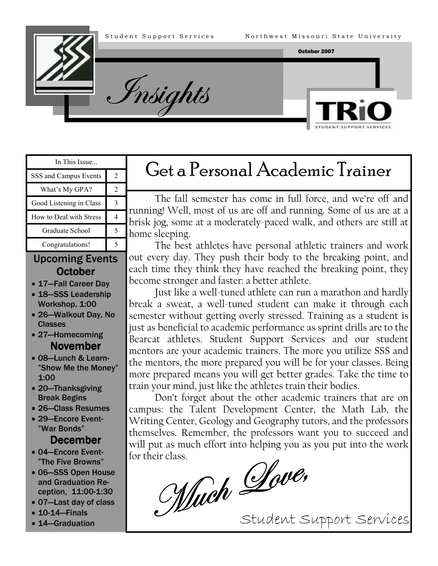Insights





| In This Issue           |  |  |
|-------------------------|--|--|
| SSS and Campus Events   |  |  |
| What's My GPA?          |  |  |
| Good Listening in Class |  |  |
| How to Deal with Stress |  |  |
| Graduate School         |  |  |

### Upcoming Events **October**

Congratulations! 5

- 17—Fall Career Day
- 18-SSS Leadership Workshop, 1:00
- 26—Walkout Day, No Classes
- 27—Homecoming **November**
- 08—Lunch & Learn- "Show Me the Money" 1:00
- 20—Thanksgiving Break Begins
- 26—Class Resumes
- 29—Encore Event- "War Bonds"

#### December

- 04—Encore Event- "The Five Browns"
- 06—SSS Open House and Graduation Reception, 11:00-1:30
- 07—Last day of class
- 10-14—Finals
- 14—Graduation

# Get a Personal Academic Trainer

The fall semester has come in full force, and we're off and running! Well, most of us are off and running. Some of us are at a brisk jog, some at a moderately-paced walk, and others are still at home sleeping.

The best athletes have personal athletic trainers and work out every day. They push their body to the breaking point, and each time they think they have reached the breaking point, they become stronger and faster: a better athlete.

Just like a well-tuned athlete can run a marathon and hardly break a sweat, a well-tuned student can make it through each semester without getting overly stressed. Training as a student is just as beneficial to academic performance as sprint drills are to the Bearcat athletes. Student Support Services and our student mentors are your academic trainers. The more you utilize SSS and the mentors, the more prepared you will be for your classes. Being more prepared means you will get better grades. Take the time to train your mind, just like the athletes train their bodies.

Don't forget about the other academic trainers that are on campus: the Talent Development Center, the Math Lab, the Writing Center, Geology and Geography tutors, and the professors themselves. Remember, the professors want you to succeed and for their class.

will put as much effort into helping you as you put into the work<br>for their class.<br>*Much* Dove,

Student Support Services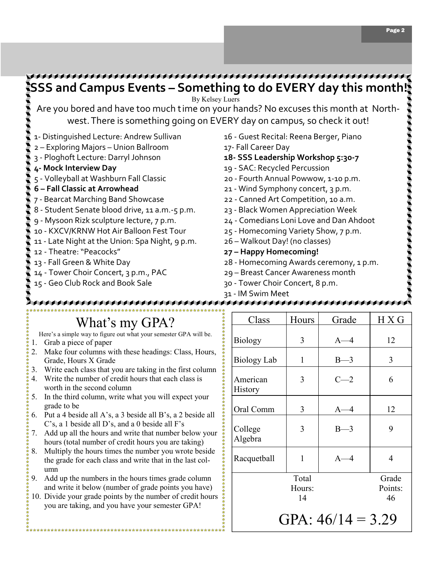

## What's my GPA?

Here's a simple way to figure out what your semester GPA will be.

- 1. Grab a piece of paper
- 2. Make four columns with these headings: Class, Hours, Grade, Hours X Grade
- 3. Write each class that you are taking in the first column
- 4. Write the number of credit hours that each class is worth in the second column
- 5. In the third column, write what you will expect your grade to be
- 6. Put a 4 beside all A's, a 3 beside all B's, a 2 beside all C's, a 1 beside all D's, and a 0 beside all F's
- 7. Add up all the hours and write that number below your hours (total number of credit hours you are taking)
- Multiply the hours times the number you wrote beside the grade for each class and write that in the last column
- 9. Add up the numbers in the hours times grade column and write it below (number of grade points you have)
- 10. Divide your grade points by the number of credit hours you are taking, and you have your semester GPA!

| Class               | Hours                 | Grade   | H X G                  |
|---------------------|-----------------------|---------|------------------------|
| <b>Biology</b>      | 3                     | $A-4$   | 12                     |
| Biology Lab         | 1                     | $B-3$   | 3                      |
| American<br>History | 3                     | $C - 2$ | 6                      |
| Oral Comm           | 3                     | $A - 4$ | 12                     |
| College<br>Algebra  | 3                     | $B-3$   | 9                      |
| Racquetball         | 1                     | $A-4$   | 4                      |
|                     | Total<br>Hours:<br>14 |         | Grade<br>Points:<br>46 |
| GPA: $46/14 = 3.29$ |                       |         |                        |

Page 2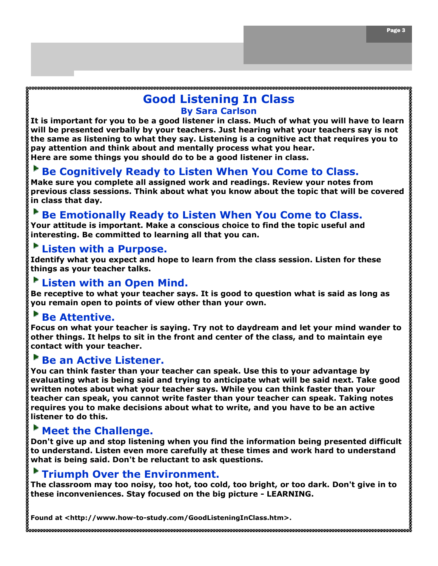#### Good Listening In Class By Sara Carlson

It is important for you to be a good listener in class. Much of what you will have to learn will be presented verbally by your teachers. Just hearing what your teachers say is not the same as listening to what they say. Listening is a cognitive act that requires you to pay attention and think about and mentally process what you hear. Here are some things you should do to be a good listener in class.

## Be Cognitively Ready to Listen When You Come to Class.

Make sure you complete all assigned work and readings. Review your notes from previous class sessions. Think about what you know about the topic that will be covered in class that day.

### Be Emotionally Ready to Listen When You Come to Class.

Your attitude is important. Make a conscious choice to find the topic useful and interesting. Be committed to learning all that you can.

#### Listen with a Purpose.

Identify what you expect and hope to learn from the class session. Listen for these things as your teacher talks.

#### Listen with an Open Mind.

Be receptive to what your teacher says. It is good to question what is said as long as you remain open to points of view other than your own.

### Be Attentive.

Focus on what your teacher is saying. Try not to daydream and let your mind wander to other things. It helps to sit in the front and center of the class, and to maintain eye contact with your teacher.

#### Be an Active Listener.

You can think faster than your teacher can speak. Use this to your advantage by evaluating what is being said and trying to anticipate what will be said next. Take good written notes about what your teacher says. While you can think faster than your teacher can speak, you cannot write faster than your teacher can speak. Taking notes requires you to make decisions about what to write, and you have to be an active listener to do this.

### Meet the Challenge.

Don't give up and stop listening when you find the information being presented difficult to understand. Listen even more carefully at these times and work hard to understand what is being said. Don't be reluctant to ask questions.

### Triumph Over the Environment.

The classroom may too noisy, too hot, too cold, too bright, or too dark. Don't give in to these inconveniences. Stay focused on the big picture - LEARNING.

Found at <http://www.how-to-study.com/GoodListeningInClass.htm>.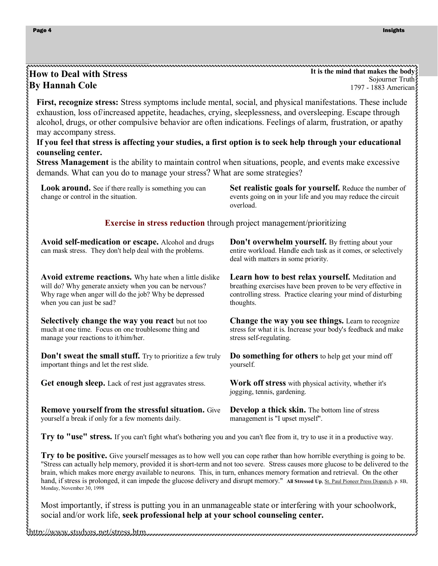#### How to Deal with Stress By Hannah Cole

It is the mind that makes the body Sojourner Truth 1797 - 1883 American

First, recognize stress: Stress symptoms include mental, social, and physical manifestations. These include exhaustion, loss of/increased appetite, headaches, crying, sleeplessness, and oversleeping. Escape through alcohol, drugs, or other compulsive behavior are often indications. Feelings of alarm, frustration, or apathy may accompany stress.

#### If you feel that stress is affecting your studies, a first option is to seek help through your educational counseling center.

Stress Management is the ability to maintain control when situations, people, and events make excessive demands. What can you do to manage your stress? What are some strategies?

Look around. See if there really is something you can change or control in the situation.

Set realistic goals for yourself. Reduce the number of events going on in your life and you may reduce the circuit overload.

#### Exercise in stress reduction through project management/prioritizing

| Avoid self-medication or escape. Alcohol and drugs<br>can mask stress. They don't help deal with the problems. | Don't overwhelm yourself. By fretting about your<br>entire workload. Handle each task as it comes, or selectively<br>deal with matters in some priority. |
|----------------------------------------------------------------------------------------------------------------|----------------------------------------------------------------------------------------------------------------------------------------------------------|
| Avoid extreme reactions. Why hate when a little dislike                                                        | <b>Learn how to best relax yourself.</b> Meditation and                                                                                                  |
| will do? Why generate anxiety when you can be nervous?                                                         | breathing exercises have been proven to be very effective in                                                                                             |
| Why rage when anger will do the job? Why be depressed                                                          | controlling stress. Practice clearing your mind of disturbing                                                                                            |
| when you can just be sad?                                                                                      | thoughts.                                                                                                                                                |
| <b>Selectively change the way you react</b> but not too                                                        | <b>Change the way you see things.</b> Learn to recognize                                                                                                 |
| much at one time. Focus on one troublesome thing and                                                           | stress for what it is. Increase your body's feedback and make                                                                                            |
| manage your reactions to it/him/her.                                                                           | stress self-regulating.                                                                                                                                  |
| <b>Don't sweat the small stuff.</b> Try to prioritize a few truly                                              | Do something for others to help get your mind off                                                                                                        |
| important things and let the rest slide.                                                                       | yourself.                                                                                                                                                |
| <b>Get enough sleep.</b> Lack of rest just aggravates stress.                                                  | <b>Work off stress</b> with physical activity, whether it's<br>jogging, tennis, gardening.                                                               |
| <b>Remove yourself from the stressful situation.</b> Give                                                      | <b>Develop a thick skin.</b> The bottom line of stress                                                                                                   |

yourself a break if only for a few moments daily.

Develop a thick skin. The bottom line of stress management is "I upset myself".

Try to "use" stress. If you can't fight what's bothering you and you can't flee from it, try to use it in a productive way.

Try to be positive. Give yourself messages as to how well you can cope rather than how horrible everything is going to be. "Stress can actually help memory, provided it is short-term and not too severe. Stress causes more glucose to be delivered to the brain, which makes more energy available to neurons. This, in turn, enhances memory formation and retrieval. On the other hand, if stress is prolonged, it can impede the glucose delivery and disrupt memory." All Stressed Up, St. Paul Pioneer Press Dispatch, p. 8B, Monday, November 30, 1998

Most importantly, if stress is putting you in an unmanageable state or interfering with your schoolwork, social and/or work life, seek professional help at your school counseling center.

http://www.studygs.net/stress.htm